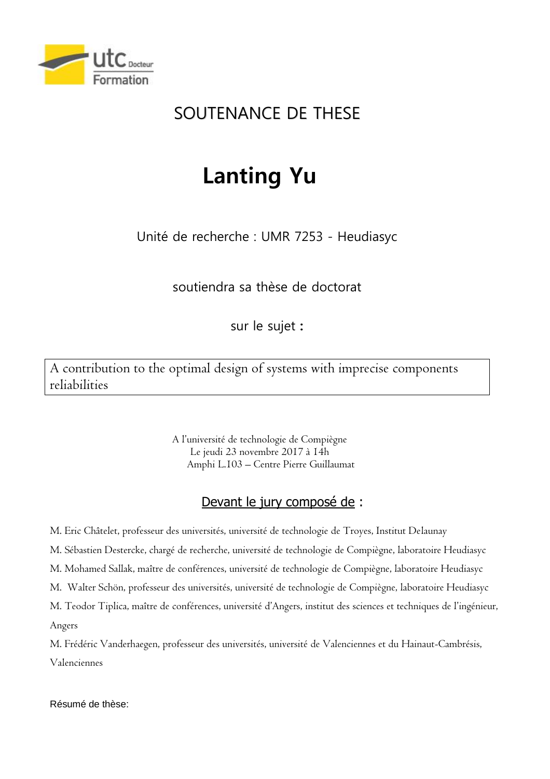

## SOUTENANCE DE THESE

## **Lanting Yu**

Unité de recherche : UMR 7253 - Heudiasyc

soutiendra sa thèse de doctorat

sur le sujet **:** 

A contribution to the optimal design of systems with imprecise components reliabilities

> A l'université de technologie de Compiègne Le jeudi 23 novembre 2017 à 14h Amphi L.103 – Centre Pierre Guillaumat

## Devant le jury composé de :

M. Eric Châtelet, professeur des universités, université de technologie de Troyes, Institut Delaunay

M. Sébastien Destercke, chargé de recherche, université de technologie de Compiègne, laboratoire Heudiasyc

M. Mohamed Sallak, maître de conférences, université de technologie de Compiègne, laboratoire Heudiasyc

M. Walter Schön, professeur des universités, université de technologie de Compiègne, laboratoire Heudiasyc

M. Teodor Tiplica, maître de conférences, université d'Angers, institut des sciences et techniques de l'ingénieur, Angers

M. Frédéric Vanderhaegen, professeur des universités, université de Valenciennes et du Hainaut-Cambrésis, Valenciennes

Résumé de thèse: